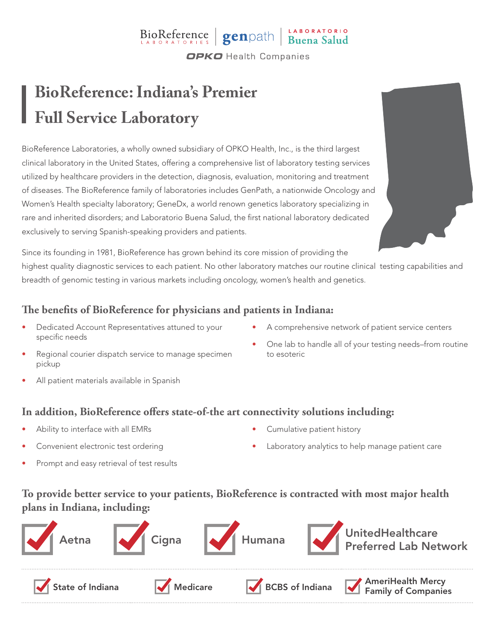# BioReference genpath Buena Salud

**OPKO** Health Companies

## **BioReference: Indiana's Premier Full Service Laboratory**

BioReference Laboratories, a wholly owned subsidiary of OPKO Health, Inc., is the third largest clinical laboratory in the United States, offering a comprehensive list of laboratory testing services utilized by healthcare providers in the detection, diagnosis, evaluation, monitoring and treatment of diseases. The BioReference family of laboratories includes GenPath, a nationwide Oncology and Women's Health specialty laboratory; GeneDx, a world renown genetics laboratory specializing in rare and inherited disorders; and Laboratorio Buena Salud, the first national laboratory dedicated exclusively to serving Spanish-speaking providers and patients.

Since its founding in 1981, BioReference has grown behind its core mission of providing the highest quality diagnostic services to each patient. No other laboratory matches our routine clinical testing capabilities and breadth of genomic testing in various markets including oncology, women's health and genetics.

#### **The benefits of BioReference for physicians and patients in Indiana:**

- Dedicated Account Representatives attuned to your specific needs
	- Regional courier dispatch service to manage specimen
- A comprehensive network of patient service centers
- One lab to handle all of your testing needs–from routine to esoteric

All patient materials available in Spanish

#### **In addition, BioReference offers state-of-the art connectivity solutions including:**

Ability to interface with all EMRs

pickup

- Convenient electronic test ordering
- Prompt and easy retrieval of test results
- Cumulative patient history
- Laboratory analytics to help manage patient care

### **To provide better service to your patients, BioReference is contracted with most major health plans in Indiana, including:**